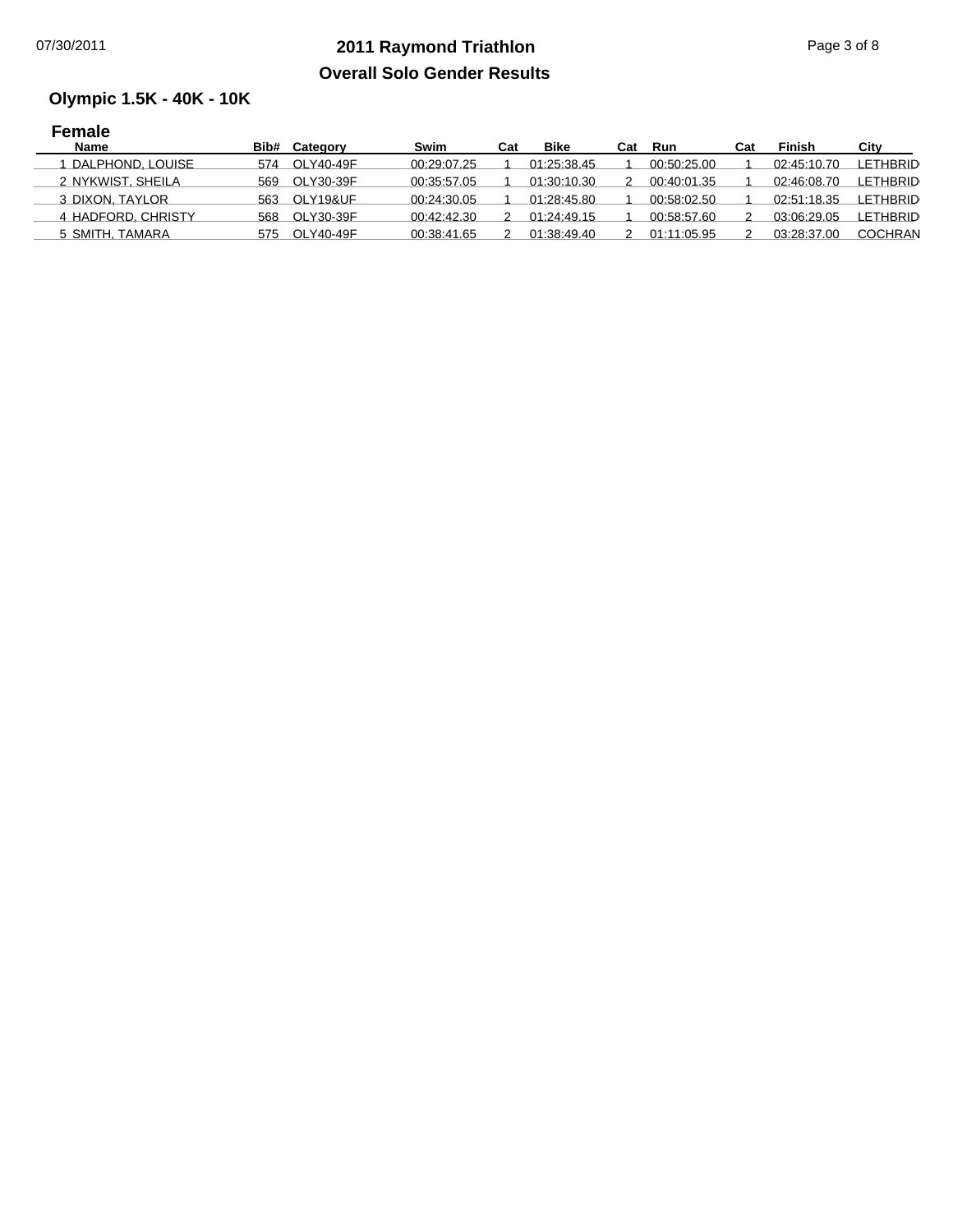## **2011 Raymond Triathlon** 07/30/2011 Page 3 of 8 **Overall Solo Gender Results**

## **Olympic 1.5K - 40K - 10K**

| <b>Female</b>      |     |               |             |     |             |     |             |     |             |                 |
|--------------------|-----|---------------|-------------|-----|-------------|-----|-------------|-----|-------------|-----------------|
| <b>Name</b>        |     | Bib# Category | Swim        | Cat | <b>Bike</b> | Cat | Run         | Cat | Finish      | City            |
| DALPHOND, LOUISE   | 574 | OLY40-49F     | 00:29:07.25 |     | 01:25:38.45 |     | 00:50:25.00 |     | 02:45:10.70 | <b>LETHBRID</b> |
| 2 NYKWIST, SHEILA  | 569 | OLY30-39F     | 00:35:57.05 |     | 01:30:10.30 |     | 00:40:01.35 |     | 02:46:08.70 | <b>LETHBRID</b> |
| 3 DIXON, TAYLOR    | 563 | OLY19&UF      | 00:24:30.05 |     | 01:28:45.80 |     | 00:58:02.50 |     | 02:51:18.35 | <b>LETHBRID</b> |
| 4 HADFORD, CHRISTY | 568 | OLY30-39F     | 00:42:42.30 |     | 01:24:49.15 |     | 00:58:57.60 |     | 03:06:29.05 | LETHBRID        |
| 5 SMITH. TAMARA    | 575 | OLY40-49F     | 00:38:41.65 |     | 01:38:49.40 |     | 01:11:05.95 |     | 03:28:37.00 | COCHRAN         |